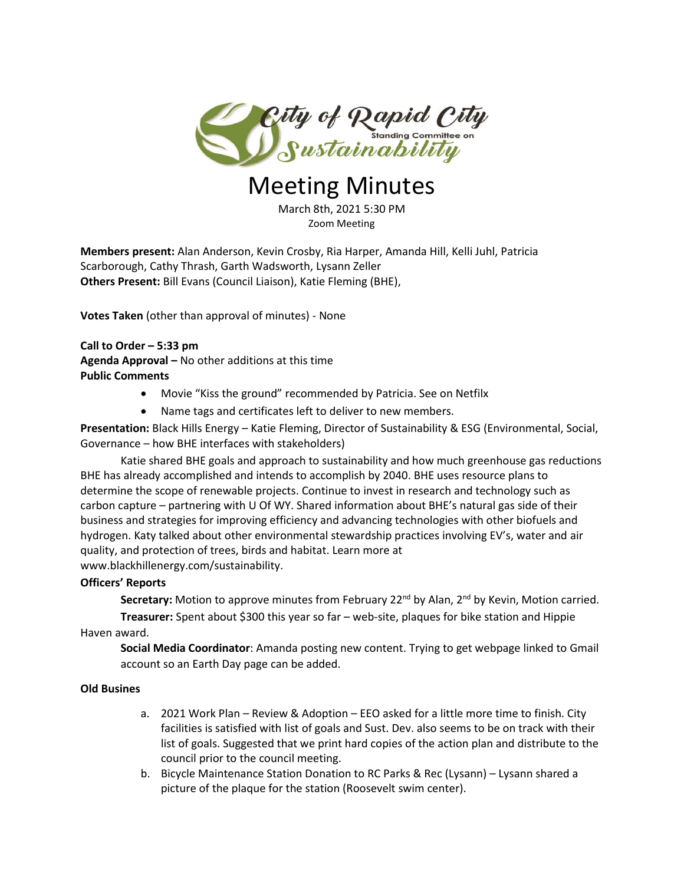

# Meeting Minutes

March 8th, 2021 5:30 PM Zoom Meeting

**Members present:** Alan Anderson, Kevin Crosby, Ria Harper, Amanda Hill, Kelli Juhl, Patricia Scarborough, Cathy Thrash, Garth Wadsworth, Lysann Zeller **Others Present:** Bill Evans (Council Liaison), Katie Fleming (BHE),

**Votes Taken** (other than approval of minutes) - None

**Call to Order – 5:33 pm Agenda Approval –** No other additions at this time **Public Comments**

- Movie "Kiss the ground" recommended by Patricia. See on Netfilx
- Name tags and certificates left to deliver to new members.

**Presentation:** Black Hills Energy – Katie Fleming, Director of Sustainability & ESG (Environmental, Social, Governance – how BHE interfaces with stakeholders)

Katie shared BHE goals and approach to sustainability and how much greenhouse gas reductions BHE has already accomplished and intends to accomplish by 2040. BHE uses resource plans to determine the scope of renewable projects. Continue to invest in research and technology such as carbon capture – partnering with U Of WY. Shared information about BHE's natural gas side of their business and strategies for improving efficiency and advancing technologies with other biofuels and hydrogen. Katy talked about other environmental stewardship practices involving EV's, water and air quality, and protection of trees, birds and habitat. Learn more at www.blackhillenergy.com/sustainability.

#### **Officers' Reports**

Secretary: Motion to approve minutes from February 22<sup>nd</sup> by Alan, 2<sup>nd</sup> by Kevin, Motion carried.

**Treasurer:** Spent about \$300 this year so far – web-site, plaques for bike station and Hippie Haven award.

**Social Media Coordinator**: Amanda posting new content. Trying to get webpage linked to Gmail account so an Earth Day page can be added.

# **Old Busines**

- a. 2021 Work Plan Review & Adoption EEO asked for a little more time to finish. City facilities is satisfied with list of goals and Sust. Dev. also seems to be on track with their list of goals. Suggested that we print hard copies of the action plan and distribute to the council prior to the council meeting.
- b. Bicycle Maintenance Station Donation to RC Parks & Rec (Lysann) Lysann shared a picture of the plaque for the station (Roosevelt swim center).